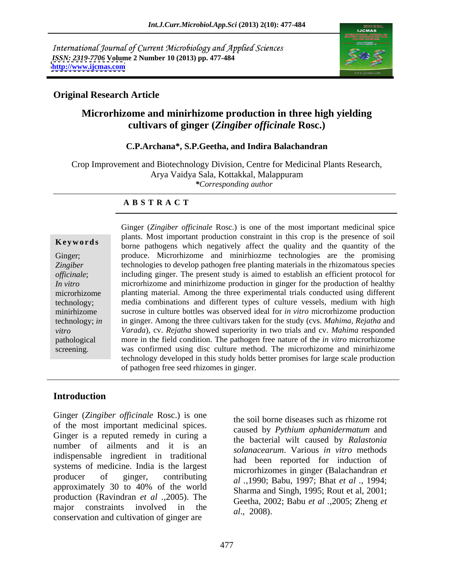International Journal of Current Microbiology and Applied Sciences *ISSN: 2319-7706* **Volume 2 Number 10 (2013) pp. 477-484 <http://www.ijcmas.com>**



# **Original Research Article**

# **Microrhizome and minirhizome production in three high yielding cultivars of ginger (***Zingiber officinale* **Rosc.)**

### **C.P.Archana\*, S.P.Geetha, and Indira Balachandran**

Crop Improvement and Biotechnology Division, Centre for Medicinal Plants Research, Arya Vaidya Sala, Kottakkal, Malappuram *\*Corresponding author*

### **A B S T R A C T**

**Keywords** borne pathogens which negatively affect the quality and the quantity of the Ginger; produce. Microrhizome and minirhiozme technologies are the promising *Zingiber*  technologies to develop pathogen free planting materials in the rhizomatous species *officinale*; including ginger. The present study is aimed to establish an efficient protocol for *In vitro* microrhizome and minirhizome production in ginger for the production of healthy microrhizome planting material. Among the three experimental trials conducted using different technology; media combinations and different types of culture vessels, medium with high minirhizome sucrose in culture bottles was observed ideal for *in vitro* microrhizome production technology; *in*  in ginger. Among the three cultivars taken for the study (cvs. *Mahima*, *Rejatha* and *vitro Varada*), cv. *Rejatha* showed superiority in two trials and cv. *Mahima* responded pathological more in the field condition. The pathogen free nature of the *in vitro* microrhizome screening. was confirmed using disc culture method. The microrhizome and minirhizome Ginger (*Zingiber officinale* Rosc.) is one of the most important medicinal spice plants. Most important production constraint in this crop is the presence of soil technology developed in this study holds better promises for large scale production of pathogen free seed rhizomes in ginger.

# **Introduction**

Ginger (*Zingiber officinale* Rosc.) is one of the most important medicinal spices. Ginger is a reputed remedy in curing a number of ailments and it is an indispensable ingredient in traditional systems of medicine. India is the largest producer of ginger, contributing *al .,*1990; Babu, 1997; Bhat *et al .,* 1994; approximately 30 to 40% of the world<br>Sharma and Singh 1995; Pout et al. 2001; production (Ravindran *et al .,*2005).The major constraints involved in the  $al., 2008$ . conservation and cultivation of ginger are

the soil borne diseases such as rhizome rot caused by *Pythium aphanidermatum* and the bacterial wilt caused by *Ralastonia solanacearum*. Various *in vitro* methods had been reported for induction of microrhizomes in ginger (Balachandran *et*  Sharma and Singh, 1995; Rout et al, 2001; Geetha, 2002; Babu *et al .,*2005; Zheng *et al*., 2008).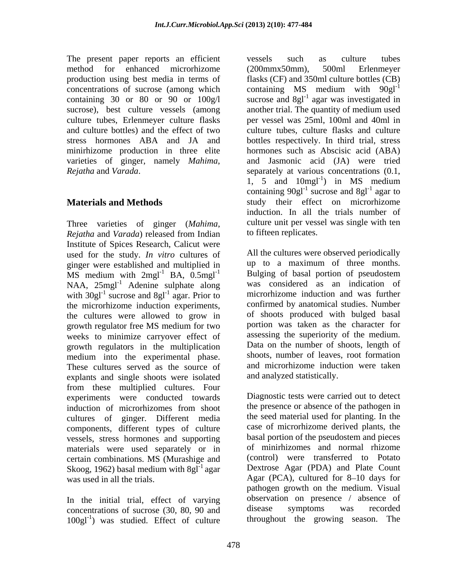The present paper reports an efficient vessels such as culture tubes method for enhanced microrhizome (200mmx50mm), 500ml Erlenmeyer sucrose), best culture vessels (among culture tubes, Erlenmeyer culture flasks

Three varieties of ginger (*Mahima*, *Rejatha* and *Varada*) released from Indian Institute of Spices Research, Calicut were used for the study. *In vitro* cultures of ginger were established and multiplied in  $\mu$  to a maximum of three months.<br>MS medium with  $2 \text{mol}^{-1}$  BA 0.5 mol<sup>-1</sup> Bulging of basal portion of pseudostem MS medium with  $2mgl^{-1}$  BA,  $0.5mgl^{-1}$ NAA, 25mgl<sup>-1</sup> Adenine sulphate along with  $30g1^{-1}$  sucrose and  $8g1^{-1}$  agar. Prior to the microrhizome induction experiments, the cultures were allowed to grow in growth regulator free MS medium for two weeks to minimize carryover effect of growth regulators in the multiplication medium into the experimental phase. These cultures served as the source of explants and single shoots were isolated from these multiplied cultures. Four experiments were conducted towards cultures of ginger. Different media components, different types of culture vessels, stress hormones and supporting materials were used separately or in certain combinations. MS (Murashige and Skoog, 1962) basal medium with  $8gl<sup>-1</sup>$  agar

In the initial trial, effect of varying observation on presence / absence of concentrations of sucrose (30 80 90 and disease symptoms was recorded concentrations of sucrose (30, 80, 90 and 100gl<sup>-1</sup>) was studied. Effect of culture throughout the growing season. The

production using best media in terms of flasks (CF) and 350ml culture bottles (CB) concentrations of sucrose (among which containing MS medium with  $90gl^{-1}$ containing 30 or 80 or 90 or  $100g/1$  sucrose and 8gl<sup>-1</sup> agar was investigated in and culture bottles) and the effect of two culture tubes, culture flasks and culture stress hormones ABA and JA and bottles respectively. In third trial, stress minirhizome production in three elite hormones such as Abscisic acid (ABA) varieties of ginger, namely *Mahima*, and Jasmonic acid (JA) were tried *Rejatha* and *Varada*. separately at various concentrations (0.1, **Materials and Methods study** their effect on microrhizome vessels such as culture tubes (200mmx50mm), 500ml Erlenmeyer agar was investigated in another trial. The quantity of medium used per vessel was 25ml, 100ml and 40ml in 1, 5 and  $10$ mgl<sup>-1</sup>) in MS medium ) in MS medium containing  $90g1^{-1}$  sucrose and  $8g1^{-1}$  agar to agar to induction. In all the trials number of culture unit per vessel was single with ten to fifteen replicates.

sucrose and  $8gl<sup>-1</sup>$  agar. Prior to microrhizome induction and was further All the cultures were observed periodically up to a maximum of three months. Bulging of basal portion of pseudostem was considered as an indication of confirmed by anatomical studies. Number of shoots produced with bulged basal portion was taken as the character for assessing the superiority of the medium. Data on the number of shoots, length of shoots, number of leaves, root formation and microrhizome induction were taken and analyzed statistically.

induction of microrhizomes from shoot the presence or absence of the pathogen in agar Dextrose Agar (PDA) and Plate Count was used in all the trials. Agar (PCA), cultured for 8-10 days for Diagnostic tests were carried out to detect the presence or absence of the pathogen in the seed material used for planting. In the case of microrhizome derived plants, the basal portion of the pseudostem and pieces of minirhizomes and normal rhizome (control) were transferred to Potato pathogen growth on the medium. Visual observation on presence / absence of disease symptoms was recorded throughout the growing season. The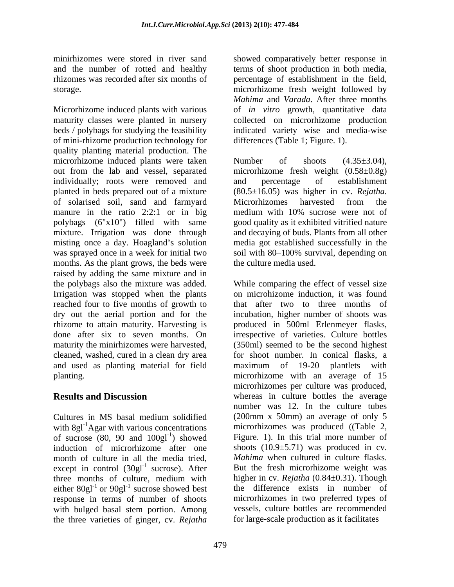Microrhizome induced plants with various of *in vitro* growth, quantitative data maturity classes were planted in nursery collected on microrhizome production beds / polybags for studying the feasibility indicated variety wise and media-wise of mini-rhizome production technology for quality planting material production. The microrhizome induced plants were taken Number of shoots  $(4.35\pm3.04)$ , out from the lab and vessel, separated microrhizome fresh weight (0.58±0.8g) individually; roots were removed and and percentage of establishment planted in beds prepared out of a mixture  $(80.5 \pm 16.05)$  was higher in cv. Rejatha. of solarised soil, sand and farmyard manure in the ratio 2:2:1 or in big medium with 10% sucrose were not of polybags (6"x10") filled with same good quality as it exhibited vitrified nature mixture. Irrigation was done through and decaying of buds. Plants from all other misting once a day. Hoagland's solution media got established successfully in the was sprayed once in a week for initial two soil with 80–100% survival, depending on months. As the plant grows, the beds were raised by adding the same mixture and in<br>the polybags also the mixture was added. the polybags also the mixture was added. While comparing the effect of vessel size Irrigation was stopped when the plants reached four to five months of growth to dry out the aerial portion and for the rhizome to attain maturity. Harvesting is produced in 500ml Erlenmeyer flasks, done after six to seven months. On irrespective of varieties. Culture bottles maturity the minirhizomes were harvested, (350ml) seemed to be the second highest cleaned, washed, cured in a clean dry area for shoot number. In conical flasks, a and used as planting material for field

with  $8gl^{-1}$ Agar with various concentrations of sucrose (80, 90 and  $100g1^{-1}$ ) showed month of culture in all the media tried, except in control  $(30gl<sup>-1</sup>$  sucrose). After three months of culture, medium with either  $80gl^{-1}$  or  $90gl^{-1}$  sucrose showed best response in terms of number of shoots with bulged basal stem portion. Among the three varieties of ginger, cv. *Rejatha*

479

minirhizomes were stored in river sand showed comparatively better response in and the number of rotted and healthy terms of shoot production in both media, rhizomes was recorded after six months of percentage of establishment in the field, storage. microrhizome fresh weight followed by *Mahima* and *Varada*. After three months differences (Table 1; Figure. 1).

> Number of shoots  $(4.35\pm3.04)$ , and percentage of establishment (80.5±16.05) was higher in cv. *Rejatha*. Microrhizomes harvested from the the culture media used.

planting. microrhizome with an average of 15 **Results and Discussion whereas** in culture bottles the average Cultures in MS basal medium solidified ) showed Figure. 1). In this trial more number of induction of microrhizome after one shoots (10.9±5.71) was produced in cv. sucrose). After But the fresh microrhizome weight was three months of culture, medium with higher in cv.  $Rejatha$   $(0.84 \pm 0.31)$ . Though or 90gl<sup>-1</sup> sucrose showed best the difference exists in number of on microhizome induction, it was found that after two to three months of incubation, higher number of shoots was maximum of 19-20 plantlets with microrhizomes per culture was produced, number was 12. In the culture tubes (200mm x 50mm) an average of only 5 microrhizomes was produced ((Table 2, *Mahima* when cultured in culture flasks. higher in cv. *Rejatha* (0.84±0.31). Though microrhizomes in two preferred types of vessels, culture bottles are recommended for large-scale production as it facilitates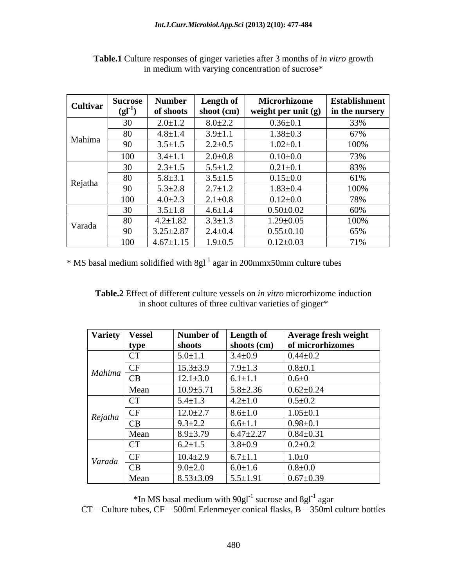| Cultivar Sucrose   Num |      |                 | Number   Length of | Microrhizome                                           | <b>Establishment</b> |
|------------------------|------|-----------------|--------------------|--------------------------------------------------------|----------------------|
|                        |      | of shoots       |                    | shoot (cm)   weight per unit (g)   in the nursery $_1$ |                      |
| Mahima                 | 30   | $2.0 \pm 1.2$   | $8.0 \pm 2.2$      | $0.36 \pm 0.1$                                         | 33%                  |
|                        | - 80 | $4.8 \pm 1.4$   | $3.9 \pm 1.1$      | $1.38 \pm 0.3$                                         | 67%                  |
|                        | 90   | $3.5 \pm 1.5$   | $2.2 \pm 0.5$      | $1.02 \pm 0.1$                                         | 100%                 |
|                        | 100  | $3.4 \pm 1.1$   | $2.0 \pm 0.8$      | $0.10{\scriptstyle \pm0.0}$                            | 73%                  |
|                        |      | $2.3 \pm 1.5$   | $5.5 \pm 1.2$      | $0.21 \pm 0.1$                                         | 83%                  |
|                        | - 80 | $5.8 \pm 3.1$   | $3.5 \pm 1.5$      | $0.15 \pm 0.0$                                         | 61%                  |
| Rejatha                | -90  | $5.3 \pm 2.8$   | $2.7 \pm 1.2$      | $1.83 \pm 0.4$                                         | 100%                 |
|                        | 100  | $4.0 \pm 2.3$   | $2.1 \pm 0.8$      | $0.12{\pm}0.0$                                         | 78%                  |
| Varada                 | 30   | $3.5 \pm 1.8$   | $4.6 \pm 1.4$      | $0.50{\pm}0.02$                                        | 60%                  |
|                        | 80   | $4.2 \pm 1.82$  | $3.3 \pm 1.3$      | $1.29 \pm 0.05$                                        | 100%                 |
|                        | 90   | $3.25 \pm 2.87$ | $2.4 \pm 0.4$      | $0.55 \pm 0.10$                                        | 65%                  |
|                        | 100  | $4.67 \pm 1.15$ | $1.9 \pm 0.5$      | $0.12 \pm 0.03$                                        | 71%                  |

**Table.1** Culture responses of ginger varieties after 3 months of *in vitro* growth in medium with varying concentration of sucrose\*

\* MS basal medium solidified with 8gl<sup>-1</sup> agar in 200mmx50mm culture tubes

**Table.2** Effect of different culture vessels on *in vitro* microrhizome induction in shoot cultures of three cultivar varieties of ginger\*

| Variety   Vessel |                | Number of       | Length of       | Average fresh weight |
|------------------|----------------|-----------------|-----------------|----------------------|
|                  | type           | shoots          | shoots $(cm)$   | of microrhizomes     |
|                  | $\Gamma$<br>◡  | $5.0 \pm 1.1$   | $3.4 \pm 0.9$   | $0.44 \pm 0.2$       |
| $Mahima -$       | <b>CF</b>      | $15.3 \pm 3.9$  | $7.9 \pm 1.3$   | $0.8 + 0.1$          |
|                  | CB             | $12.1 \pm 3.0$  | $6.1 \pm 1.1$   | $0.6 + 0$            |
|                  | Mean           | $10.9 \pm 5.71$ | $5.8 \pm 2.36$  | $0.62 \pm 0.24$      |
|                  | $\Gamma$<br>◡▴ | $5.4 \pm 1.3$   | $4.2 \pm 1.0$   | $0.5 \pm 0.2$        |
| Rejatha          | <b>CF</b>      | $12.0 \pm 2.7$  | $8.6 \pm 1.0$   | $1.05 \pm 0.1$       |
|                  | CB             | $9.3 \pm 2.2$   | $6.6 \pm 1.1$   | $0.98 \pm 0.1$       |
|                  | Mean           | $8.9 \pm 3.79$  | $6.47 \pm 2.27$ | $0.84 \pm 0.31$      |
|                  | <b>CT</b>      | $6.2 \pm 1.5$   | $3.8 \pm 0.9$   | $0.2 \pm 0.2$        |
| Varada           | <b>CF</b>      | $10.4 \pm 2.9$  | $6.7 \pm 1.1$   | $1.0 + 0$            |
|                  | CB             | $9.0 \pm 2.0$   | $6.0 \pm 1.6$   | $0.8 + 0.0$          |
|                  | Mean           | $8.53 \pm 3.09$ | $5.5 \pm 1.91$  | $0.67 \pm 0.39$      |

 $*$ In MS basal medium with  $90g1^{-1}$  sucrose and  $8g1^{-1}$  agar sucrose and  $8gl^{-1}$  agar agar  $CT -$ Culture tubes,  $CF - 500$ ml Erlenmeyer conical flasks,  $B - 350$ ml culture bottles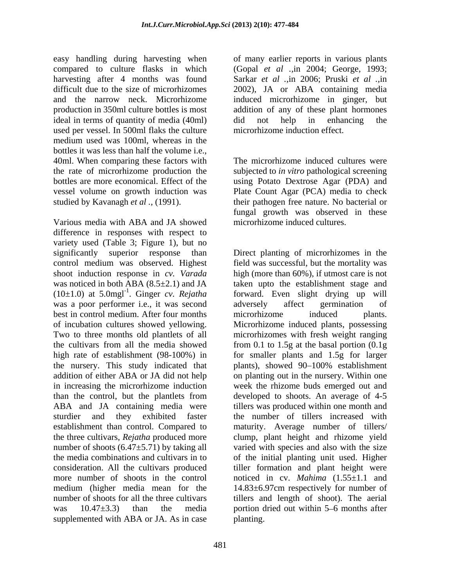easy handling during harvesting when compared to culture flasks in which (Gopal *et al .,*in 2004; George, 1993; harvesting after 4 months was found Sarkar *et al .,*in 2006; Pruski *et al .,*in difficult due to the size of microrhizomes 2002), JA or ABA containing media and the narrow neck. Microrhizome induced microrhizome in ginger, but production in 350ml culture bottles is most addition of any of these plant hormones ideal in terms of quantity of media (40ml) did not help in enhancing the used per vessel. In 500ml flaks the culture medium used was 100ml, whereas in the bottles it was less than half the volume i.e., 40ml. When comparing these factors with the rate of microrhizome production the subjected to *in vitro* pathological screening bottles are more economical. Effect of the using Potato Dextrose Agar (PDA) and vessel volume on growth induction was Plate Count Agar (PCA) media to check

Various media with ABA and JA showed difference in responses with respect to variety used (Table 3; Figure 1), but no significantly superior response than Direct planting of microrhizomes in the control medium was observed. Highest field was successful, but the mortality was shoot induction response in *cv. Varada* high (more than 60%), if utmost care is not was noticed in both  $ABA(8.5\pm2.1)$  and JA taken upto the establishment stage and  $(10\pm1.0)$  at 5.0mgl<sup>-1</sup>. Ginger *cv. Rejatha* forward. Even slight drying up will was a poor performer i.e., it was second adversely affect germination of best in control medium. After four months microrhizome induced plants. of incubation cultures showed yellowing. Microrhizome induced plants, possessing Two to three months old plantlets of all microrhizomes with fresh weight ranging the cultivars from all the media showed from 0.1 to 1.5g at the basal portion (0.1g high rate of establishment (98-100%) in for smaller plants and 1.5g for larger the nursery. This study indicated that plants), showed 90–100% establishment addition of either ABA or JA did not help on planting out in the nursery. Within one addition of either ABA or JA did not help on planting out in the nursery. Within one in increasing the microrhizome induction week the rhizome buds emerged out and than the control, but the plantlets from developed to shoots. An average of 4-5 ABA and JA containing media were tillers was produced within one month and sturdier and they exhibited faster the number of tillers increased with establishment than control. Compared to maturity. Average number of tillers/ the three cultivars, *Rejatha* produced more clump, plant height and rhizome yield number of shoots (6.47 $\pm$ 5.71) by taking all varied with species and also with the size the media combinations and cultivars in to of the initial planting unit used.Higher consideration. All the cultivars produced tiller formation and plant height were more number of shoots in the control noticed in cv. *Mahima* (1.55±1.1 and medium (higher media mean for the 14.83±6.97cm respectively for number of number of shoots for all the three cultivars tillers and length of shoot). The aerial was  $10.47\pm3.3$ ) than the media portion dried out within 5–6 months after supplemented with ABA or JA. As in case

of many earlier reports in various plants did not help in enhancing the microrhizome induction effect.

studied by Kavanagh *et al .,* (1991). their pathogen free nature. No bacterial or The microrhizome induced cultures were fungal growth was observed in these microrhizome induced cultures.

> adversely affect germination of microrhizome induced plants. plants), showed 90–100% establishment planting.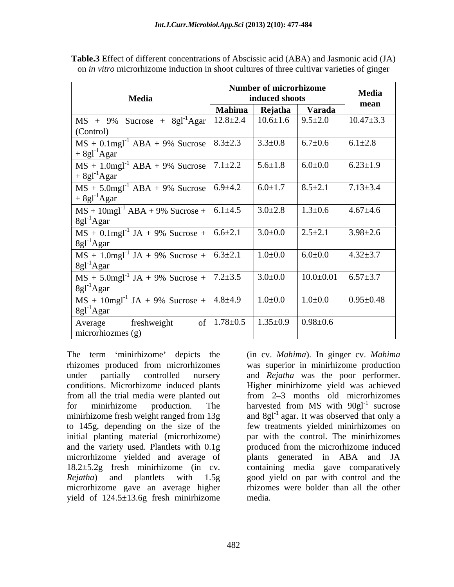|                                                                                    | <b>Number of microrhizome</b><br>induced shoots |                                  |                             | <b>Media</b>    |
|------------------------------------------------------------------------------------|-------------------------------------------------|----------------------------------|-----------------------------|-----------------|
| Media                                                                              |                                                 |                                  |                             | mean            |
|                                                                                    | <b>Mahima</b>                                   | Rejatha                          | Varada                      |                 |
| $\vert$ MS + 9% Sucrose + 8gl <sup>-1</sup> Agar $\vert$ 12.8±2.4 $\vert$ 10.6±1.6 |                                                 |                                  | $9.5 \pm 2.0$               | $10.47 \pm 3.3$ |
| (Control)                                                                          |                                                 |                                  |                             |                 |
| MS + 0.1mgl <sup>-1</sup> ABA + 9% Sucrose   $8.\overline{3\pm2.3}$                |                                                 | $3.3 \pm 0.8$                    | $6.7 \pm 0.6$               | $6.1 \pm 2.8$   |
| $+8gl^{-1}Agar$                                                                    |                                                 |                                  |                             |                 |
| $MS + 1.0$ mgl <sup>-1</sup> ABA + 9% Sucrose 7.1±2.2                              |                                                 | $5.6 \pm 1.8$                    | $6.0 \pm 0.0$               | $6.23 \pm 1.9$  |
| $+8gl^{-1}Agar$                                                                    |                                                 |                                  |                             |                 |
| $MS + 5.0$ mgl <sup>-1</sup> ABA + 9% Sucrose 6.9±4.2                              |                                                 | $6.0 \pm 1.7$                    | $8.5 \pm 2.1$               | $7.13 \pm 3.4$  |
| $+8gl^{-1}Agar$                                                                    |                                                 |                                  |                             |                 |
| $MS + 10$ mgl <sup>-1</sup> ABA + 9% Sucrose + 6.1±4.5                             |                                                 | $3.0 \pm 2.8$                    | $1.3 \pm 0.6$               | $4.67 \pm 4.6$  |
| $8gl^{-1}Agar$                                                                     |                                                 |                                  |                             |                 |
|                                                                                    |                                                 | $3.0 \pm 0.0$                    | $2.5 \pm 2.1$               | $3.98 \pm 2.6$  |
| $MS + 0.1$ mgl <sup>-1</sup> JA + 9% Sucrose + 6.6±2.1<br>8gl <sup>-1</sup> Agar   |                                                 |                                  |                             |                 |
|                                                                                    |                                                 | $1.0 \pm 0.0$                    | $6.0 \pm 0.0$               | $4.32 \pm 3.7$  |
| $MS + 1.0$ mgl <sup>-1</sup> JA + 9% Sucrose + 6.3±2.1<br>8gl <sup>-1</sup> Agar   |                                                 |                                  |                             |                 |
| $MS + 5.0$ mgl <sup>-1</sup> JA + 9% Sucrose + 7.2±3.5                             |                                                 | 3.0 $\pm$ 0.0                    | $10.0\pm0.01$ 6.57 $\pm3.7$ |                 |
| $8gl^{-1}Agar$                                                                     |                                                 |                                  |                             |                 |
| $MS + 10$ mgl <sup>-1</sup> JA + 9% Sucrose + 4.8±4.9                              |                                                 | $1.0 \pm 0.0$                    | $1.0 + 0.0$                 | $0.95 \pm 0.48$ |
| $8gl^{-1}Agar$                                                                     |                                                 |                                  |                             |                 |
|                                                                                    |                                                 | of $1.78 \pm 0.5$ $1.35 \pm 0.9$ | $0.98 \pm 0.6$              |                 |
| freshweight<br>Average<br>$\overline{\text{microthiozmes (g)}}$                    |                                                 |                                  |                             |                 |
|                                                                                    |                                                 |                                  |                             |                 |

**Table.3** Effect of different concentrations of Abscissic acid (ABA) and Jasmonic acid (JA) on *in vitro* microrhizome induction in shoot cultures of three cultivar varieties of ginger

The term 'minirhizome' depicts the (in cv. *Mahima*). In ginger cv. *Mahima* rhizomes produced from microrhizomes was superior in minirhizome production under partially controlled nursery and *Rejatha* was the poor performer. conditions. Microrhizome induced plants from all the trial media were planted out from 2–3 months old microrhizomes for minirhizome production. The harvested from MS with  $90gl<sup>-1</sup>$  sucrose minirhizome fresh weight ranged from 13g and  $8gl^{-1}$  agar. It was observed that only a to 145g, depending on the size of the initial planting material (microrhizome) par with the control. The minirhizomes and the variety used. Plantlets with 0.1g microrhizome yielded and average of plants generated in ABA and JA 18.2±5.2g fresh minirhizome (in cv. containing media gave comparatively *Rejatha*) and plantlets with 1.5g good yield on par with control and the microrhizome gave an average higher yield of 124.5±13.6g fresh minirhizome

Higher minirhizome yield was achieved sucrose **sucrose** few treatments yielded minirhizomes on produced from the microrhizome induced rhizomes were bolder than all the other media.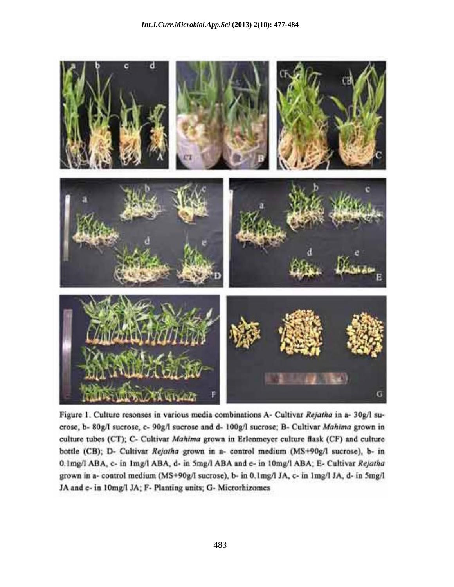

Figure 1. Culture resonses in various media combinations A- Cultivar Rejatha in a- 30g/l sucrose, b- 80g/I sucrose, c- 90g/I sucrose and d- 100g/I sucrose; B- Cultivar Mahima grown in culture tubes (CT); C- Cultivar Mahima grown in Erlenmeyer culture flask (CF) and culture bottle (CB); D- Cultivar Rejatha grown in a- control medium (MS+90g/l sucrose), b- in 0.1mg/l ABA, c- in 1mg/l ABA, d- in 5mg/l ABA and e- in 10mg/l ABA; E- Cultivar Rejatha grown in a- control medium (MS+90g/I sucrose), b- in 0.1mg/I JA, c- in 1mg/I JA, d- in 5mg/l JA and e- in 10mg/l JA: F- Planting units; G- Microrhizomes